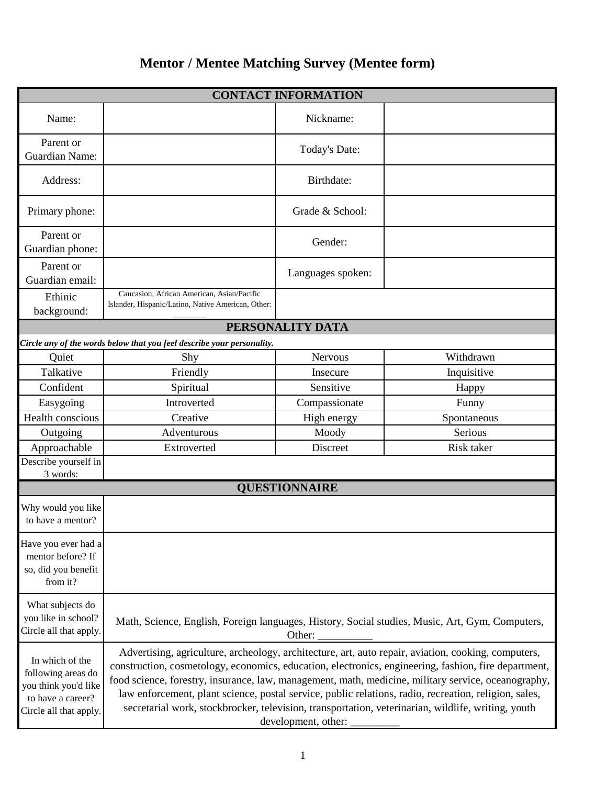## **Mentor / Mentee Matching Survey (Mentee form)**

| <b>CONTACT INFORMATION</b>                                                                                   |                                                                                                                                                                                                                                                                                                                                                                                                                                                                                                                                                          |                      |             |  |  |
|--------------------------------------------------------------------------------------------------------------|----------------------------------------------------------------------------------------------------------------------------------------------------------------------------------------------------------------------------------------------------------------------------------------------------------------------------------------------------------------------------------------------------------------------------------------------------------------------------------------------------------------------------------------------------------|----------------------|-------------|--|--|
| Name:                                                                                                        |                                                                                                                                                                                                                                                                                                                                                                                                                                                                                                                                                          | Nickname:            |             |  |  |
| Parent or<br><b>Guardian Name:</b>                                                                           |                                                                                                                                                                                                                                                                                                                                                                                                                                                                                                                                                          | Today's Date:        |             |  |  |
| Address:                                                                                                     |                                                                                                                                                                                                                                                                                                                                                                                                                                                                                                                                                          | Birthdate:           |             |  |  |
| Primary phone:                                                                                               |                                                                                                                                                                                                                                                                                                                                                                                                                                                                                                                                                          | Grade & School:      |             |  |  |
| Parent or<br>Guardian phone:                                                                                 |                                                                                                                                                                                                                                                                                                                                                                                                                                                                                                                                                          | Gender:              |             |  |  |
| Parent or<br>Guardian email:                                                                                 |                                                                                                                                                                                                                                                                                                                                                                                                                                                                                                                                                          | Languages spoken:    |             |  |  |
| Ethinic<br>background:                                                                                       | Caucasion, African American, Asian/Pacific<br>Islander, Hispanic/Latino, Native American, Other:                                                                                                                                                                                                                                                                                                                                                                                                                                                         |                      |             |  |  |
|                                                                                                              | PERSONALITY DATA                                                                                                                                                                                                                                                                                                                                                                                                                                                                                                                                         |                      |             |  |  |
|                                                                                                              | Circle any of the words below that you feel describe your personality.                                                                                                                                                                                                                                                                                                                                                                                                                                                                                   |                      |             |  |  |
| Quiet                                                                                                        | Shy                                                                                                                                                                                                                                                                                                                                                                                                                                                                                                                                                      | <b>Nervous</b>       | Withdrawn   |  |  |
| Talkative                                                                                                    | Friendly                                                                                                                                                                                                                                                                                                                                                                                                                                                                                                                                                 | Insecure             | Inquisitive |  |  |
| Confident                                                                                                    | Spiritual                                                                                                                                                                                                                                                                                                                                                                                                                                                                                                                                                | Sensitive            | Happy       |  |  |
| Easygoing                                                                                                    | Introverted                                                                                                                                                                                                                                                                                                                                                                                                                                                                                                                                              | Compassionate        | Funny       |  |  |
| Health conscious                                                                                             | Creative                                                                                                                                                                                                                                                                                                                                                                                                                                                                                                                                                 | High energy          | Spontaneous |  |  |
| Outgoing                                                                                                     | Adventurous                                                                                                                                                                                                                                                                                                                                                                                                                                                                                                                                              | Moody                | Serious     |  |  |
| Approachable                                                                                                 | Extroverted                                                                                                                                                                                                                                                                                                                                                                                                                                                                                                                                              | Discreet             | Risk taker  |  |  |
| Describe yourself in<br>3 words:                                                                             |                                                                                                                                                                                                                                                                                                                                                                                                                                                                                                                                                          |                      |             |  |  |
|                                                                                                              |                                                                                                                                                                                                                                                                                                                                                                                                                                                                                                                                                          | <b>QUESTIONNAIRE</b> |             |  |  |
| Why would you like<br>to have a mentor?                                                                      |                                                                                                                                                                                                                                                                                                                                                                                                                                                                                                                                                          |                      |             |  |  |
| Have you ever had a<br>mentor before? If<br>so, did you benefit<br>from it?                                  |                                                                                                                                                                                                                                                                                                                                                                                                                                                                                                                                                          |                      |             |  |  |
| What subjects do<br>you like in school?<br>Circle all that apply.                                            | Math, Science, English, Foreign languages, History, Social studies, Music, Art, Gym, Computers,                                                                                                                                                                                                                                                                                                                                                                                                                                                          |                      |             |  |  |
| In which of the<br>following areas do<br>you think you'd like<br>to have a career?<br>Circle all that apply. | Advertising, agriculture, archeology, architecture, art, auto repair, aviation, cooking, computers,<br>construction, cosmetology, economics, education, electronics, engineering, fashion, fire department,<br>food science, forestry, insurance, law, management, math, medicine, military service, oceanography,<br>law enforcement, plant science, postal service, public relations, radio, recreation, religion, sales,<br>secretarial work, stockbrocker, television, transportation, veterinarian, wildlife, writing, youth<br>development, other: |                      |             |  |  |